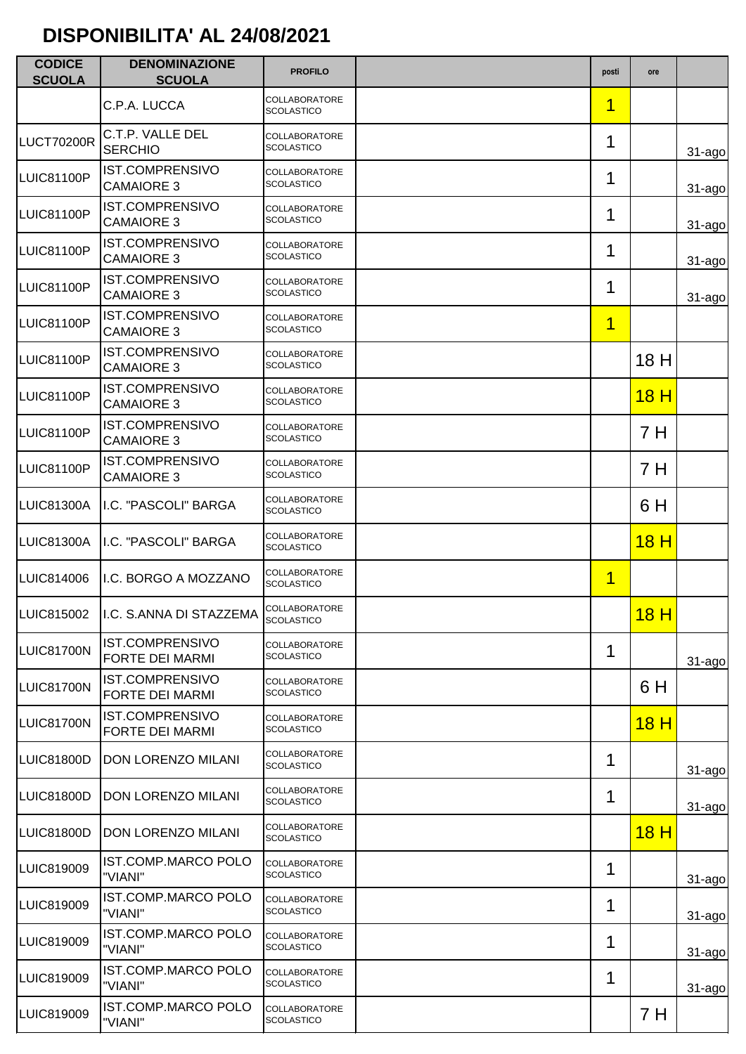| <b>CODICE</b><br><b>SCUOLA</b> | <b>DENOMINAZIONE</b><br><b>SCUOLA</b>            | <b>PROFILO</b>                            | posti                   | ore  |             |
|--------------------------------|--------------------------------------------------|-------------------------------------------|-------------------------|------|-------------|
|                                | C.P.A. LUCCA                                     | <b>COLLABORATORE</b><br><b>SCOLASTICO</b> | 1                       |      |             |
| <b>LUCT70200R</b>              | C.T.P. VALLE DEL<br><b>SERCHIO</b>               | COLLABORATORE<br><b>SCOLASTICO</b>        | 1                       |      | $31 - ago$  |
| LUIC81100P                     | <b>IST.COMPRENSIVO</b><br><b>CAMAIORE 3</b>      | COLLABORATORE<br><b>SCOLASTICO</b>        | 1                       |      | $31 - ago$  |
| LUIC81100P                     | <b>IST.COMPRENSIVO</b><br><b>CAMAIORE 3</b>      | COLLABORATORE<br><b>SCOLASTICO</b>        | 1                       |      | $31 - ago$  |
| LUIC81100P                     | <b>IST.COMPRENSIVO</b><br><b>CAMAIORE 3</b>      | COLLABORATORE<br><b>SCOLASTICO</b>        | 1                       |      | $31 - a$ go |
| <b>LUIC81100P</b>              | <b>IST.COMPRENSIVO</b><br><b>CAMAIORE 3</b>      | COLLABORATORE<br><b>SCOLASTICO</b>        | 1                       |      | $31$ -ago   |
| <b>LUIC81100P</b>              | <b>IST.COMPRENSIVO</b><br><b>CAMAIORE 3</b>      | COLLABORATORE<br><b>SCOLASTICO</b>        | 1                       |      |             |
| LUIC81100P                     | <b>IST.COMPRENSIVO</b><br><b>CAMAIORE 3</b>      | COLLABORATORE<br><b>SCOLASTICO</b>        |                         | 18 H |             |
| LUIC81100P                     | IST.COMPRENSIVO<br><b>CAMAIORE 3</b>             | COLLABORATORE<br><b>SCOLASTICO</b>        |                         | 18H  |             |
| LUIC81100P                     | IST.COMPRENSIVO<br><b>CAMAIORE 3</b>             | COLLABORATORE<br><b>SCOLASTICO</b>        |                         | 7 H  |             |
| LUIC81100P                     | <b>IST.COMPRENSIVO</b><br><b>CAMAIORE 3</b>      | COLLABORATORE<br><b>SCOLASTICO</b>        |                         | 7 H  |             |
| LUIC81300A                     | I.C. "PASCOLI" BARGA                             | <b>COLLABORATORE</b><br><b>SCOLASTICO</b> |                         | 6 H  |             |
| <b>LUIC81300A</b>              | I.C. "PASCOLI" BARGA                             | COLLABORATORE<br><b>SCOLASTICO</b>        |                         | 18H  |             |
| LUIC814006                     | I.C. BORGO A MOZZANO                             | COLLABORATORE<br><b>SCOLASTICO</b>        | $\overline{\mathbf{1}}$ |      |             |
| <b>LUIC815002</b>              | I.C. S.ANNA DI STAZZEMA SCOLASTICO               | <b>COLLABORATORE</b>                      |                         | 18H  |             |
| LUIC81700N                     | IST.COMPRENSIVO<br><b>FORTE DEI MARMI</b>        | <b>COLLABORATORE</b><br><b>SCOLASTICO</b> | 1                       |      | $31 - ago$  |
| LUIC81700N                     | <b>IST.COMPRENSIVO</b><br><b>FORTE DEI MARMI</b> | COLLABORATORE<br><b>SCOLASTICO</b>        |                         | 6 H  |             |
| LUIC81700N                     | <b>IST.COMPRENSIVO</b><br><b>FORTE DEI MARMI</b> | COLLABORATORE<br><b>SCOLASTICO</b>        |                         | 18H  |             |
| LUIC81800D                     | DON LORENZO MILANI                               | <b>COLLABORATORE</b><br><b>SCOLASTICO</b> | 1                       |      | $31 - ago$  |
| LUIC81800D                     | DON LORENZO MILANI                               | COLLABORATORE<br><b>SCOLASTICO</b>        | 1                       |      | $31 - ago$  |
| <b>LUIC81800D</b>              | DON LORENZO MILANI                               | COLLABORATORE<br><b>SCOLASTICO</b>        |                         | 18H  |             |
| LUIC819009                     | <b>IST.COMP.MARCO POLO</b><br>"VIANI"            | <b>COLLABORATORE</b><br><b>SCOLASTICO</b> | 1                       |      | $31 - ago$  |
| LUIC819009                     | IST.COMP.MARCO POLO<br>"VIANI"                   | <b>COLLABORATORE</b><br><b>SCOLASTICO</b> | 1                       |      | $31 - ago$  |
| LUIC819009                     | <b>IST.COMP.MARCO POLO</b><br>"VIANI"            | <b>COLLABORATORE</b><br><b>SCOLASTICO</b> | 1                       |      | $31 - ago$  |
| LUIC819009                     | <b>IST.COMP.MARCO POLO</b><br>"VIANI"            | <b>COLLABORATORE</b><br><b>SCOLASTICO</b> | 1                       |      | $31 - ago$  |
| LUIC819009                     | IST.COMP.MARCO POLO<br>"VIANI"                   | <b>COLLABORATORE</b><br><b>SCOLASTICO</b> |                         | 7 H  |             |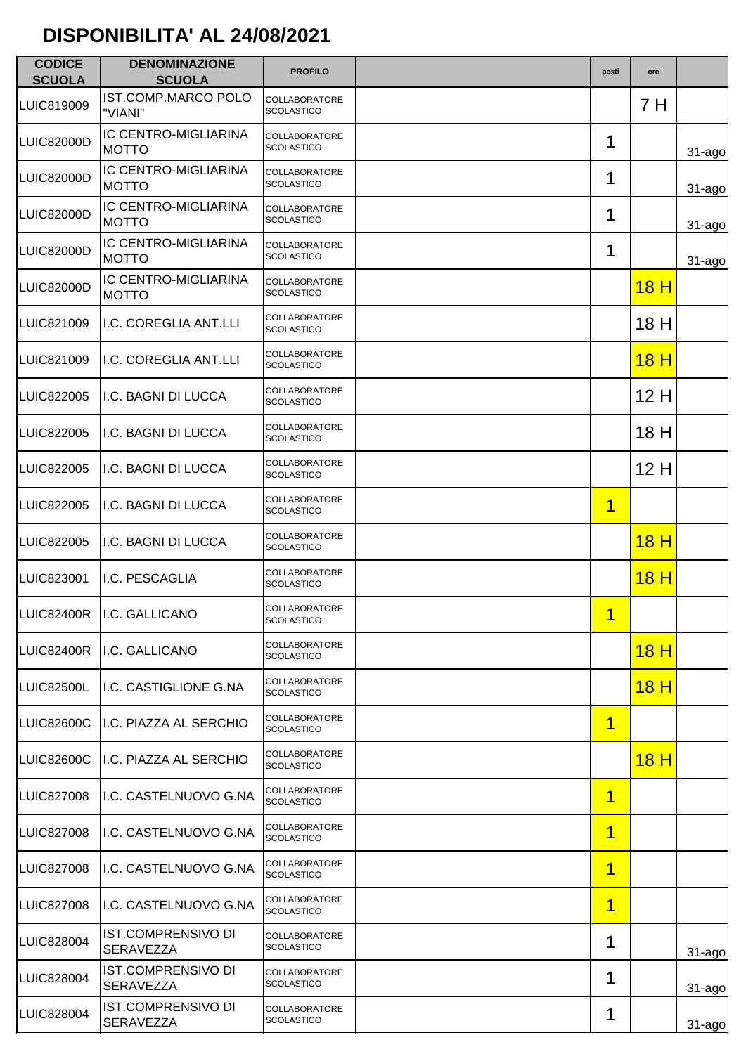| <b>CODICE</b><br><b>SCUOLA</b> | <b>DENOMINAZIONE</b><br><b>SCUOLA</b>         | <b>PROFILO</b>                            | posti | ore         |             |
|--------------------------------|-----------------------------------------------|-------------------------------------------|-------|-------------|-------------|
| LUIC819009                     | IST.COMP.MARCO POLO<br>"VIANI"                | COLLABORATORE<br><b>SCOLASTICO</b>        |       | 7 H         |             |
| LUIC82000D                     | IC CENTRO-MIGLIARINA<br><b>MOTTO</b>          | COLLABORATORE<br><b>SCOLASTICO</b>        | 1     |             | $31 - ago$  |
| LUIC82000D                     | IC CENTRO-MIGLIARINA<br><b>MOTTO</b>          | <b>COLLABORATORE</b><br><b>SCOLASTICO</b> | 1     |             | $31 - a$ go |
| LUIC82000D                     | <b>IC CENTRO-MIGLIARINA</b><br><b>MOTTO</b>   | <b>COLLABORATORE</b><br><b>SCOLASTICO</b> | 1     |             | $31 - ago$  |
| LUIC82000D                     | IC CENTRO-MIGLIARINA<br><b>MOTTO</b>          | COLLABORATORE<br><b>SCOLASTICO</b>        | 1     |             | 31-ago      |
| <b>LUIC82000D</b>              | IC CENTRO-MIGLIARINA<br><b>MOTTO</b>          | COLLABORATORE<br><b>SCOLASTICO</b>        |       | <u>18 H</u> |             |
| LUIC821009                     | I.C. COREGLIA ANT.LLI                         | <b>COLLABORATORE</b><br><b>SCOLASTICO</b> |       | 18 H        |             |
| LUIC821009                     | I.C. COREGLIA ANT.LLI                         | COLLABORATORE<br><b>SCOLASTICO</b>        |       | 18H         |             |
| <b>LUIC822005</b>              | I.C. BAGNI DI LUCCA                           | COLLABORATORE<br><b>SCOLASTICO</b>        |       | 12H         |             |
| <b>LUIC822005</b>              | I.C. BAGNI DI LUCCA                           | COLLABORATORE<br><b>SCOLASTICO</b>        |       | 18 H        |             |
| <b>LUIC822005</b>              | I.C. BAGNI DI LUCCA                           | COLLABORATORE<br><b>SCOLASTICO</b>        |       | 12H         |             |
| <b>LUIC822005</b>              | I.C. BAGNI DI LUCCA                           | COLLABORATORE<br><b>SCOLASTICO</b>        | 1     |             |             |
| <b>LUIC822005</b>              | I.C. BAGNI DI LUCCA                           | COLLABORATORE<br><b>SCOLASTICO</b>        |       | 18H         |             |
| LUIC823001                     | I.C. PESCAGLIA                                | COLLABORATORE<br><b>SCOLASTICO</b>        |       | 18H         |             |
|                                | LUIC82400R   I.C. GALLICANO                   | <b>COLLABORATORE</b><br>SCOLASTICO        | 1     |             |             |
| LUIC82400R                     | I.C. GALLICANO                                | <b>COLLABORATORE</b><br><b>SCOLASTICO</b> |       | 18H         |             |
| LUIC82500L                     | I.C. CASTIGLIONE G.NA                         | COLLABORATORE<br><b>SCOLASTICO</b>        |       | <u>18 H</u> |             |
| LUIC82600C                     | I.C. PIAZZA AL SERCHIO                        | <b>COLLABORATORE</b><br><b>SCOLASTICO</b> | 1     |             |             |
| <b>LUIC82600C</b>              | I.C. PIAZZA AL SERCHIO                        | <b>COLLABORATORE</b><br><b>SCOLASTICO</b> |       | <u>18 H</u> |             |
| LUIC827008                     | I.C. CASTELNUOVO G.NA                         | <b>COLLABORATORE</b><br><b>SCOLASTICO</b> | 1     |             |             |
| <b>LUIC827008</b>              | I.C. CASTELNUOVO G.NA                         | COLLABORATORE<br><b>SCOLASTICO</b>        | 1     |             |             |
| <b>LUIC827008</b>              | I.C. CASTELNUOVO G.NA                         | COLLABORATORE<br><b>SCOLASTICO</b>        | 1     |             |             |
| <b>LUIC827008</b>              | I.C. CASTELNUOVO G.NA                         | COLLABORATORE<br><b>SCOLASTICO</b>        | 1     |             |             |
| <b>LUIC828004</b>              | IST.COMPRENSIVO DI<br>SERAVEZZA               | COLLABORATORE<br><b>SCOLASTICO</b>        | 1     |             | $31$ -ago   |
| <b>LUIC828004</b>              | IST.COMPRENSIVO DI<br><b>SERAVEZZA</b>        | COLLABORATORE<br><b>SCOLASTICO</b>        | 1     |             | $31 - ago$  |
| LUIC828004                     | <b>IST.COMPRENSIVO DI</b><br><b>SERAVEZZA</b> | COLLABORATORE<br><b>SCOLASTICO</b>        | 1     |             | $31 - aqo$  |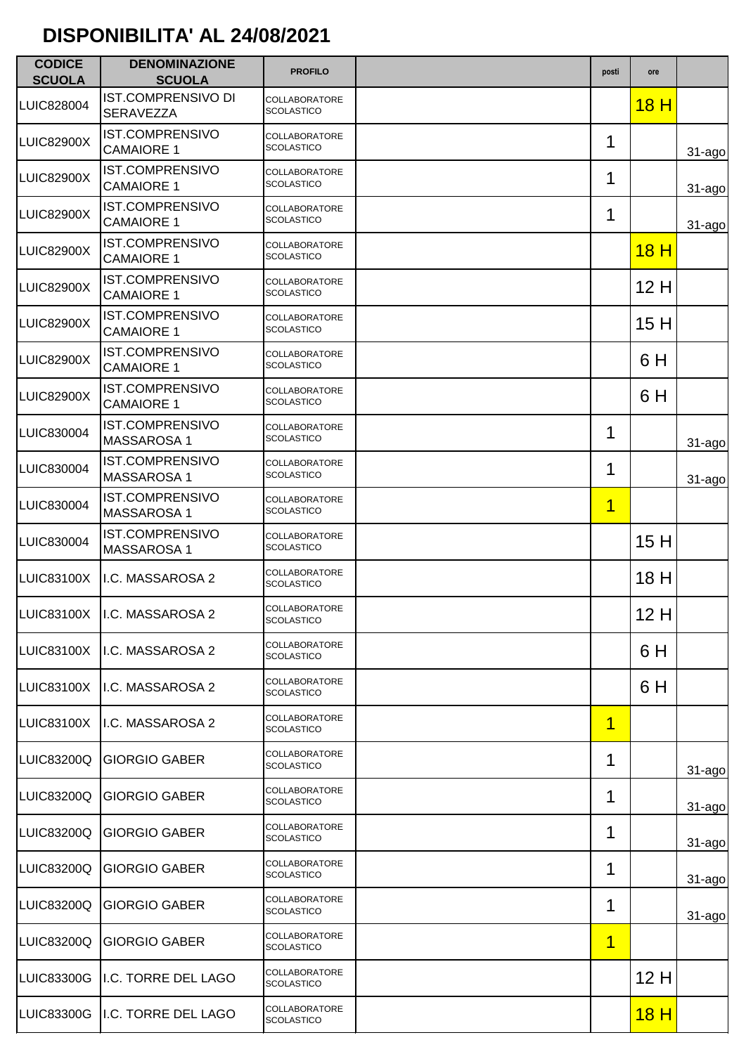| <b>CODICE</b><br><b>SCUOLA</b> | <b>DENOMINAZIONE</b><br><b>SCUOLA</b>         | <b>PROFILO</b>                            | posti                   | ore             |            |
|--------------------------------|-----------------------------------------------|-------------------------------------------|-------------------------|-----------------|------------|
| LUIC828004                     | <b>IST.COMPRENSIVO DI</b><br><b>SERAVEZZA</b> | COLLABORATORE<br><b>SCOLASTICO</b>        |                         | 18H             |            |
| <b>LUIC82900X</b>              | <b>IST.COMPRENSIVO</b><br><b>CAMAIORE 1</b>   | COLLABORATORE<br><b>SCOLASTICO</b>        | 1                       |                 | $31 - ago$ |
| <b>LUIC82900X</b>              | <b>IST.COMPRENSIVO</b><br><b>CAMAIORE 1</b>   | COLLABORATORE<br><b>SCOLASTICO</b>        | 1                       |                 | $31 - ago$ |
| <b>LUIC82900X</b>              | <b>IST.COMPRENSIVO</b><br><b>CAMAIORE 1</b>   | COLLABORATORE<br><b>SCOLASTICO</b>        | 1                       |                 | $31 - ago$ |
| <b>LUIC82900X</b>              | <b>IST.COMPRENSIVO</b><br><b>CAMAIORE 1</b>   | COLLABORATORE<br><b>SCOLASTICO</b>        |                         | 18 <sub>H</sub> |            |
| <b>LUIC82900X</b>              | <b>IST.COMPRENSIVO</b><br><b>CAMAIORE 1</b>   | COLLABORATORE<br><b>SCOLASTICO</b>        |                         | 12H             |            |
| <b>LUIC82900X</b>              | <b>IST.COMPRENSIVO</b><br><b>CAMAIORE 1</b>   | COLLABORATORE<br><b>SCOLASTICO</b>        |                         | 15H             |            |
| <b>LUIC82900X</b>              | <b>IST.COMPRENSIVO</b><br><b>CAMAIORE 1</b>   | COLLABORATORE<br><b>SCOLASTICO</b>        |                         | 6 H             |            |
| <b>LUIC82900X</b>              | <b>IST.COMPRENSIVO</b><br><b>CAMAIORE 1</b>   | COLLABORATORE<br><b>SCOLASTICO</b>        |                         | 6 H             |            |
| LUIC830004                     | <b>IST.COMPRENSIVO</b><br><b>MASSAROSA1</b>   | COLLABORATORE<br><b>SCOLASTICO</b>        | 1                       |                 | $31 - ago$ |
| LUIC830004                     | <b>IST.COMPRENSIVO</b><br><b>MASSAROSA1</b>   | COLLABORATORE<br><b>SCOLASTICO</b>        | 1                       |                 | $31 - ago$ |
| LUIC830004                     | <b>IST.COMPRENSIVO</b><br><b>MASSAROSA1</b>   | COLLABORATORE<br><b>SCOLASTICO</b>        | $\overline{\mathbf{1}}$ |                 |            |
| LUIC830004                     | <b>IST.COMPRENSIVO</b><br><b>MASSAROSA1</b>   | COLLABORATORE<br><b>SCOLASTICO</b>        |                         | 15H             |            |
| <b>LUIC83100X</b>              | I.C. MASSAROSA 2                              | COLLABORATORE<br><b>SCOLASTICO</b>        |                         | 18 H            |            |
|                                | LUIC83100X   I.C. MASSAROSA 2                 | COLLABORATORE<br>SCOLASTICO               |                         | 12H             |            |
| <b>LUIC83100X</b>              | I.C. MASSAROSA 2                              | <b>COLLABORATORE</b><br><b>SCOLASTICO</b> |                         | 6 H             |            |
| <b>LUIC83100X</b>              | I.C. MASSAROSA 2                              | COLLABORATORE<br><b>SCOLASTICO</b>        |                         | 6 H             |            |
| <b>LUIC83100X</b>              | I.C. MASSAROSA 2                              | COLLABORATORE<br><b>SCOLASTICO</b>        | $\overline{\mathbf{1}}$ |                 |            |
| LUIC83200Q                     | <b>GIORGIO GABER</b>                          | COLLABORATORE<br>SCOLASTICO               | 1                       |                 | $31 - ago$ |
| LUIC83200Q                     | <b>GIORGIO GABER</b>                          | COLLABORATORE<br><b>SCOLASTICO</b>        | 1                       |                 | $31 - ago$ |
| LUIC83200Q                     | <b>GIORGIO GABER</b>                          | COLLABORATORE<br><b>SCOLASTICO</b>        | 1                       |                 | $31 - ago$ |
| LUIC83200Q                     | <b>GIORGIO GABER</b>                          | COLLABORATORE<br><b>SCOLASTICO</b>        | 1                       |                 | $31 - ago$ |
| LUIC83200Q                     | <b>GIORGIO GABER</b>                          | COLLABORATORE<br><b>SCOLASTICO</b>        | 1                       |                 | $31 - ago$ |
| LUIC83200Q                     | <b>GIORGIO GABER</b>                          | COLLABORATORE<br><b>SCOLASTICO</b>        | 1                       |                 |            |
| LUIC83300G                     | I.C. TORRE DEL LAGO                           | COLLABORATORE<br><b>SCOLASTICO</b>        |                         | 12H             |            |
| LUIC83300G                     | I.C. TORRE DEL LAGO                           | COLLABORATORE<br><b>SCOLASTICO</b>        |                         | 18 H            |            |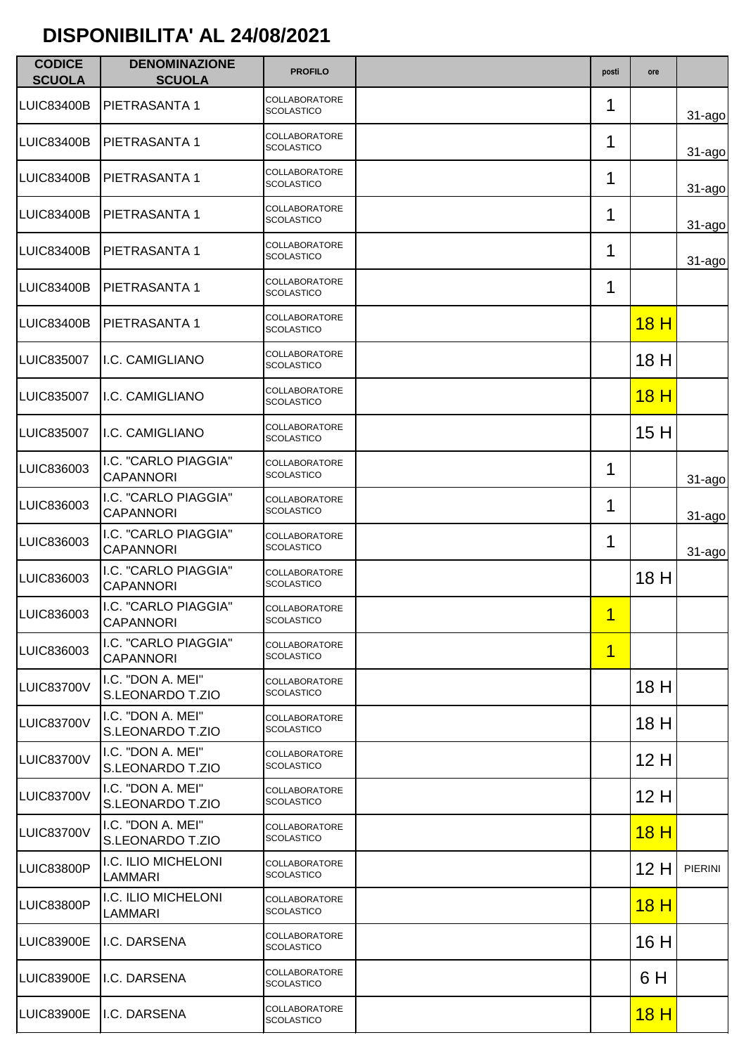| <b>CODICE</b><br><b>SCUOLA</b> | <b>DENOMINAZIONE</b><br><b>SCUOLA</b>    | <b>PROFILO</b>                            | posti | ore             |             |
|--------------------------------|------------------------------------------|-------------------------------------------|-------|-----------------|-------------|
| LUIC83400B                     | PIETRASANTA 1                            | COLLABORATORE<br><b>SCOLASTICO</b>        | 1     |                 | $31 - ago$  |
| LUIC83400B                     | PIETRASANTA 1                            | <b>COLLABORATORE</b><br><b>SCOLASTICO</b> | 1     |                 | $31 - ago$  |
| LUIC83400B                     | PIETRASANTA 1                            | COLLABORATORE<br><b>SCOLASTICO</b>        | 1     |                 | $31 - ago$  |
| <b>LUIC83400B</b>              | PIETRASANTA 1                            | COLLABORATORE<br><b>SCOLASTICO</b>        | 1     |                 | $31 - ago$  |
| LUIC83400B                     | PIETRASANTA 1                            | COLLABORATORE<br><b>SCOLASTICO</b>        | 1     |                 | $31 - a$ go |
| <b>LUIC83400B</b>              | PIETRASANTA 1                            | COLLABORATORE<br><b>SCOLASTICO</b>        | 1     |                 |             |
| LUIC83400B                     | PIETRASANTA 1                            | COLLABORATORE<br><b>SCOLASTICO</b>        |       | 18H             |             |
| <b>LUIC835007</b>              | I.C. CAMIGLIANO                          | COLLABORATORE<br><b>SCOLASTICO</b>        |       | 18 H            |             |
| <b>LUIC835007</b>              | I.C. CAMIGLIANO                          | COLLABORATORE<br><b>SCOLASTICO</b>        |       | 18 <sub>H</sub> |             |
| <b>LUIC835007</b>              | I.C. CAMIGLIANO                          | COLLABORATORE<br><b>SCOLASTICO</b>        |       | 15H             |             |
| LUIC836003                     | I.C. "CARLO PIAGGIA"<br><b>CAPANNORI</b> | COLLABORATORE<br><b>SCOLASTICO</b>        | 1     |                 | $31 - a$ go |
| LUIC836003                     | I.C. "CARLO PIAGGIA"<br><b>CAPANNORI</b> | COLLABORATORE<br><b>SCOLASTICO</b>        | 1     |                 | $31 - ago$  |
| LUIC836003                     | I.C. "CARLO PIAGGIA"<br><b>CAPANNORI</b> | COLLABORATORE<br>SCOLASTICO               | 1     |                 | $31 - ago$  |
| LUIC836003                     | I.C. "CARLO PIAGGIA"<br><b>CAPANNORI</b> | COLLABORATORE<br><b>SCOLASTICO</b>        |       | 18 H            |             |
| LUIC836003                     | I.C. "CARLO PIAGGIA"<br>CAPANNORI        | COLLABORATORE<br><b>SCOLASTICO</b>        | 1     |                 |             |
| LUIC836003                     | I.C. "CARLO PIAGGIA"<br><b>CAPANNORI</b> | <b>COLLABORATORE</b><br><b>SCOLASTICO</b> | 1     |                 |             |
| LUIC83700V                     | I.C. "DON A. MEI"<br>S.LEONARDO T.ZIO    | <b>COLLABORATORE</b><br><b>SCOLASTICO</b> |       | 18 H            |             |
| LUIC83700V                     | I.C. "DON A. MEI"<br>S.LEONARDO T.ZIO    | COLLABORATORE<br>SCOLASTICO               |       | 18 H            |             |
| LUIC83700V                     | I.C. "DON A. MEI"<br>S.LEONARDO T.ZIO    | COLLABORATORE<br><b>SCOLASTICO</b>        |       | 12H             |             |
| LUIC83700V                     | I.C. "DON A. MEI"<br>S.LEONARDO T.ZIO    | COLLABORATORE<br><b>SCOLASTICO</b>        |       | 12 H            |             |
| LUIC83700V                     | I.C. "DON A. MEI"<br>S.LEONARDO T.ZIO    | COLLABORATORE<br><b>SCOLASTICO</b>        |       | 18H             |             |
| LUIC83800P                     | I.C. ILIO MICHELONI<br>LAMMARI           | COLLABORATORE<br><b>SCOLASTICO</b>        |       | 12H             | PIERINI     |
| LUIC83800P                     | I.C. ILIO MICHELONI<br>LAMMARI           | COLLABORATORE<br><b>SCOLASTICO</b>        |       | <u>18 H</u>     |             |
| <b>LUIC83900E</b>              | I.C. DARSENA                             | COLLABORATORE<br><b>SCOLASTICO</b>        |       | 16 H            |             |
| LUIC83900E                     | I.C. DARSENA                             | COLLABORATORE<br>SCOLASTICO               |       | 6 H             |             |
| <b>LUIC83900E</b>              | I.C. DARSENA                             | COLLABORATORE<br><b>SCOLASTICO</b>        |       | 18H             |             |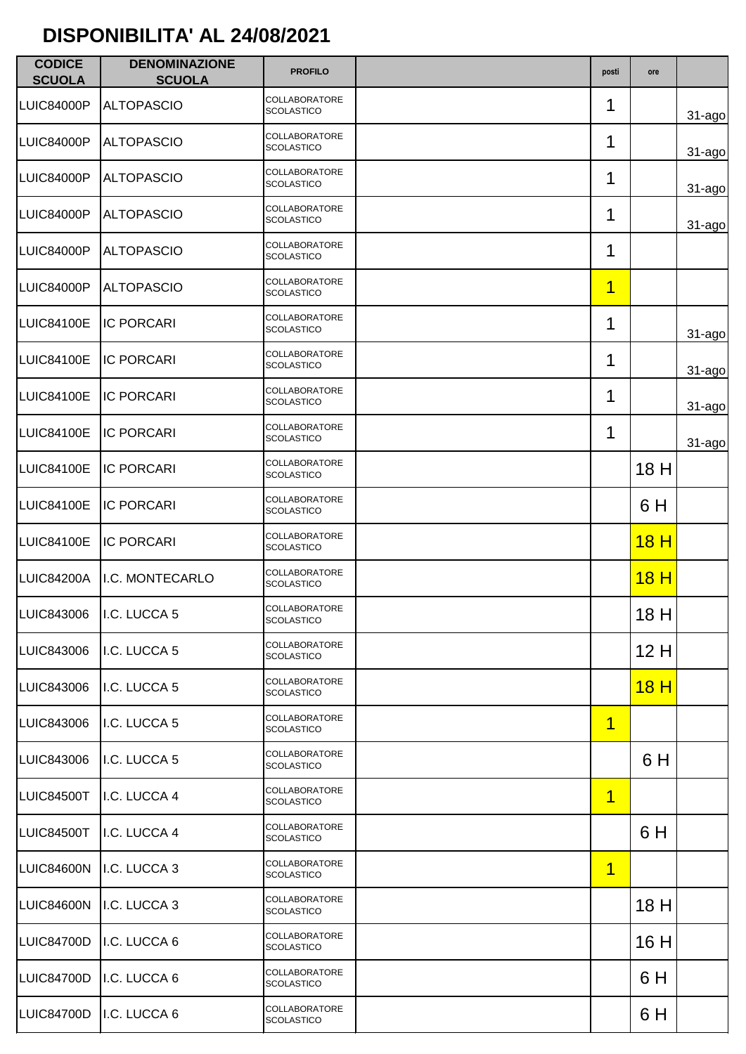| <b>CODICE</b><br><b>SCUOLA</b> | <b>DENOMINAZIONE</b><br><b>SCUOLA</b> | <b>PROFILO</b>                            | posti                   | ore         |            |
|--------------------------------|---------------------------------------|-------------------------------------------|-------------------------|-------------|------------|
| LUIC84000P                     | <b>ALTOPASCIO</b>                     | COLLABORATORE<br><b>SCOLASTICO</b>        | 1                       |             | $31 - ago$ |
| LUIC84000P                     | <b>ALTOPASCIO</b>                     | <b>COLLABORATORE</b><br><b>SCOLASTICO</b> | 1                       |             | $31 - ago$ |
| LUIC84000P                     | <b>ALTOPASCIO</b>                     | COLLABORATORE<br><b>SCOLASTICO</b>        | 1                       |             | $31 - ago$ |
| LUIC84000P                     | <b>ALTOPASCIO</b>                     | <b>COLLABORATORE</b><br><b>SCOLASTICO</b> | 1                       |             | $31 - ago$ |
| LUIC84000P                     | <b>ALTOPASCIO</b>                     | COLLABORATORE<br><b>SCOLASTICO</b>        | 1                       |             |            |
| LUIC84000P                     | <b>ALTOPASCIO</b>                     | COLLABORATORE<br><b>SCOLASTICO</b>        | $\overline{\mathbf{1}}$ |             |            |
| LUIC84100E                     | <b>IC PORCARI</b>                     | COLLABORATORE<br><b>SCOLASTICO</b>        | 1                       |             | $31 - ago$ |
| LUIC84100E                     | <b>IC PORCARI</b>                     | <b>COLLABORATORE</b><br><b>SCOLASTICO</b> | 1                       |             | $31 - ago$ |
| LUIC84100E                     | <b>IC PORCARI</b>                     | COLLABORATORE<br><b>SCOLASTICO</b>        | 1                       |             | 31-ago     |
| LUIC84100E                     | <b>IC PORCARI</b>                     | COLLABORATORE<br><b>SCOLASTICO</b>        | 1                       |             | $31 - ago$ |
| LUIC84100E                     | <b>IC PORCARI</b>                     | <b>COLLABORATORE</b><br><b>SCOLASTICO</b> |                         | 18 H        |            |
| LUIC84100E                     | <b>IC PORCARI</b>                     | COLLABORATORE<br><b>SCOLASTICO</b>        |                         | 6 H         |            |
| <b>LUIC84100E</b>              | <b>IC PORCARI</b>                     | COLLABORATORE<br><b>SCOLASTICO</b>        |                         | 18H         |            |
| <b>LUIC84200A</b>              | I.C. MONTECARLO                       | <b>COLLABORATORE</b><br><b>SCOLASTICO</b> |                         | 18H         |            |
| LUIC843006                     | I.C. LUCCA 5                          | COLLABORATORE<br><b>SCOLASTICO</b>        |                         | 18H         |            |
| LUIC843006                     | I.C. LUCCA 5                          | COLLABORATORE<br><b>SCOLASTICO</b>        |                         | 12 H        |            |
| <b>LUIC843006</b>              | I.C. LUCCA 5                          | COLLABORATORE<br><b>SCOLASTICO</b>        |                         | <u>18 H</u> |            |
| LUIC843006                     | I.C. LUCCA 5                          | COLLABORATORE<br><b>SCOLASTICO</b>        | 1                       |             |            |
| <b>LUIC843006</b>              | I.C. LUCCA 5                          | COLLABORATORE<br><b>SCOLASTICO</b>        |                         | 6 H         |            |
| LUIC84500T                     | I.C. LUCCA 4                          | COLLABORATORE<br><b>SCOLASTICO</b>        | 1                       |             |            |
| LUIC84500T                     | I.C. LUCCA 4                          | COLLABORATORE<br><b>SCOLASTICO</b>        |                         | 6 H         |            |
| LUIC84600N                     | I.C. LUCCA 3                          | COLLABORATORE<br><b>SCOLASTICO</b>        | 1                       |             |            |
| LUIC84600N                     | I.C. LUCCA 3                          | COLLABORATORE<br><b>SCOLASTICO</b>        |                         | 18 H        |            |
| <b>LUIC84700D</b>              | I.C. LUCCA 6                          | COLLABORATORE<br><b>SCOLASTICO</b>        |                         | 16 H        |            |
| LUIC84700D                     | I.C. LUCCA 6                          | COLLABORATORE<br><b>SCOLASTICO</b>        |                         | 6 H         |            |
| LUIC84700D                     | I.C. LUCCA 6                          | COLLABORATORE<br><b>SCOLASTICO</b>        |                         | 6 H         |            |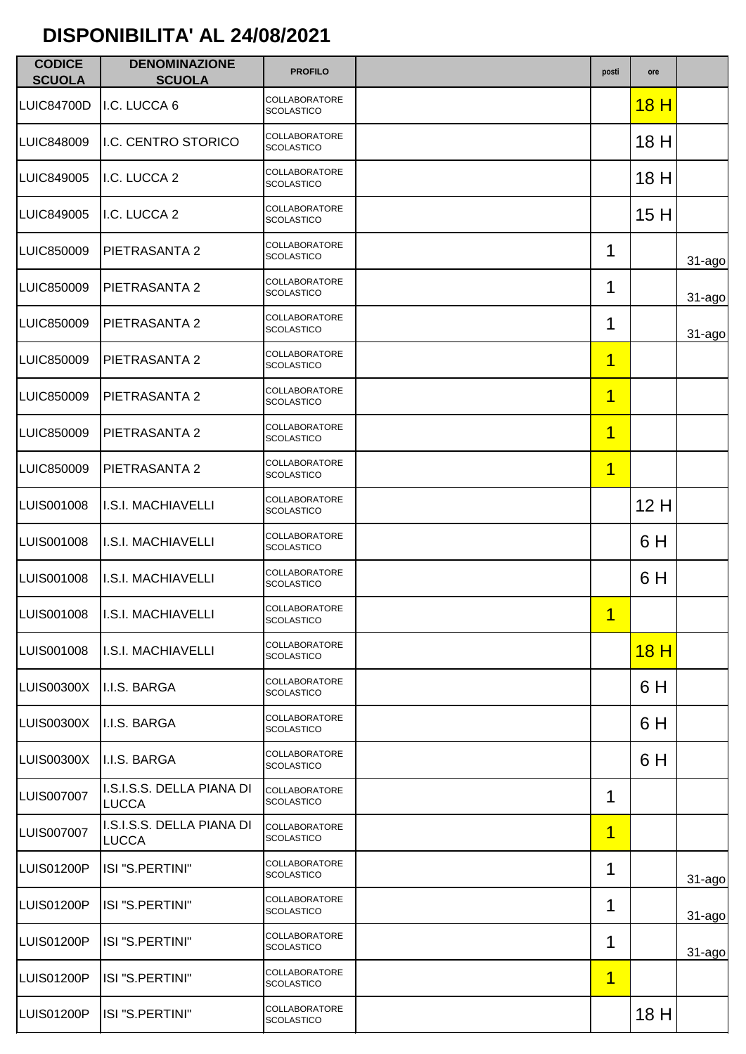| <b>CODICE</b><br><b>SCUOLA</b> | <b>DENOMINAZIONE</b><br><b>SCUOLA</b>     | <b>PROFILO</b>                            | posti                   | ore  |             |
|--------------------------------|-------------------------------------------|-------------------------------------------|-------------------------|------|-------------|
| LUIC84700D                     | I.C. LUCCA 6                              | <b>COLLABORATORE</b><br><b>SCOLASTICO</b> |                         | 18H  |             |
| <b>LUIC848009</b>              | I.C. CENTRO STORICO                       | COLLABORATORE<br><b>SCOLASTICO</b>        |                         | 18 H |             |
| <b>LUIC849005</b>              | I.C. LUCCA 2                              | COLLABORATORE<br><b>SCOLASTICO</b>        |                         | 18 H |             |
| <b>LUIC849005</b>              | I.C. LUCCA 2                              | <b>COLLABORATORE</b><br><b>SCOLASTICO</b> |                         | 15H  |             |
| <b>LUIC850009</b>              | PIETRASANTA 2                             | COLLABORATORE<br><b>SCOLASTICO</b>        | 1                       |      | 31-ago      |
| LUIC850009                     | PIETRASANTA 2                             | COLLABORATORE<br><b>SCOLASTICO</b>        | 1                       |      | $31 - ago$  |
| <b>LUIC850009</b>              | PIETRASANTA 2                             | <b>COLLABORATORE</b><br><b>SCOLASTICO</b> | 1                       |      | $31 - a$ go |
| LUIC850009                     | PIETRASANTA 2                             | COLLABORATORE<br><b>SCOLASTICO</b>        | 1                       |      |             |
| <b>LUIC850009</b>              | PIETRASANTA 2                             | COLLABORATORE<br><b>SCOLASTICO</b>        | 1                       |      |             |
| <b>LUIC850009</b>              | PIETRASANTA 2                             | COLLABORATORE<br><b>SCOLASTICO</b>        | $\overline{\mathbf{1}}$ |      |             |
| <b>LUIC850009</b>              | PIETRASANTA 2                             | COLLABORATORE<br><b>SCOLASTICO</b>        | 1                       |      |             |
| LUIS001008                     | <b>I.S.I. MACHIAVELLI</b>                 | COLLABORATORE<br><b>SCOLASTICO</b>        |                         | 12H  |             |
| LUIS001008                     | I.S.I. MACHIAVELLI                        | COLLABORATORE<br><b>SCOLASTICO</b>        |                         | 6 H  |             |
| LUIS001008                     | I.S.I. MACHIAVELLI                        | COLLABORATORE<br><b>SCOLASTICO</b>        |                         | 6 H  |             |
| LUIS001008                     | <b>I.S.I. MACHIAVELLI</b>                 | COLLABORATORE<br><b>SCOLASTICO</b>        | 1                       |      |             |
| LUIS001008                     | I.S.I. MACHIAVELLI                        | COLLABORATORE<br><b>SCOLASTICO</b>        |                         | 18H  |             |
| LUIS00300X                     | II.I.S. BARGA                             | COLLABORATORE<br><b>SCOLASTICO</b>        |                         | 6H   |             |
| <b>LUIS00300X</b>              | I.I.S. BARGA                              | <b>COLLABORATORE</b><br><b>SCOLASTICO</b> |                         | 6 H  |             |
| LUIS00300X                     | I.I.S. BARGA                              | <b>COLLABORATORE</b><br><b>SCOLASTICO</b> |                         | 6 H  |             |
| <b>LUIS007007</b>              | I.S.I.S.S. DELLA PIANA DI<br><b>LUCCA</b> | <b>COLLABORATORE</b><br><b>SCOLASTICO</b> | 1                       |      |             |
| <b>LUIS007007</b>              | I.S.I.S.S. DELLA PIANA DI<br><b>LUCCA</b> | <b>COLLABORATORE</b><br><b>SCOLASTICO</b> | $\overline{1}$          |      |             |
| LUIS01200P                     | ISI "S.PERTINI"                           | COLLABORATORE<br><b>SCOLASTICO</b>        | 1                       |      | $31 - a$ go |
| LUIS01200P                     | ISI "S.PERTINI"                           | COLLABORATORE<br><b>SCOLASTICO</b>        | 1                       |      | $31 - ago$  |
| <b>LUIS01200P</b>              | ISI "S.PERTINI"                           | COLLABORATORE<br><b>SCOLASTICO</b>        | 1                       |      | $31 - ago$  |
| LUIS01200P                     | ISI "S.PERTINI"                           | COLLABORATORE<br><b>SCOLASTICO</b>        | 1                       |      |             |
| <b>LUIS01200P</b>              | ISI "S.PERTINI"                           | COLLABORATORE<br><b>SCOLASTICO</b>        |                         | 18 H |             |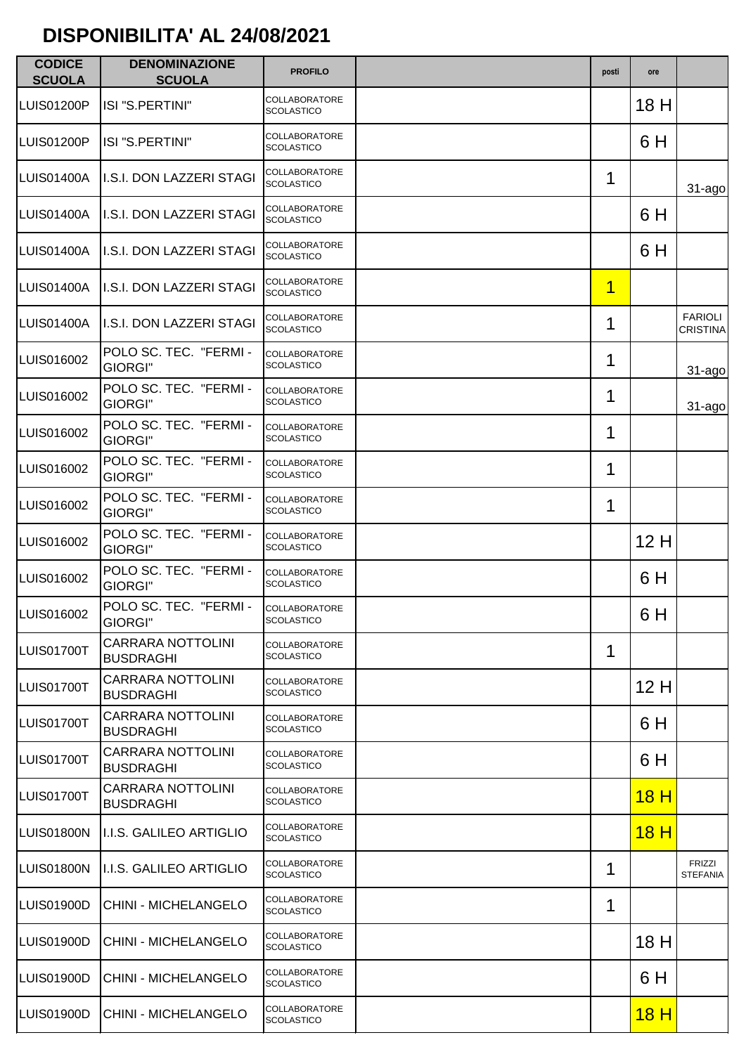| <b>CODICE</b><br><b>SCUOLA</b> | <b>DENOMINAZIONE</b><br><b>SCUOLA</b>        | <b>PROFILO</b>                            | posti | ore         |                                   |
|--------------------------------|----------------------------------------------|-------------------------------------------|-------|-------------|-----------------------------------|
| LUIS01200P                     | ISI "S.PERTINI"                              | <b>COLLABORATORE</b><br><b>SCOLASTICO</b> |       | 18 H        |                                   |
| LUIS01200P                     | ISI "S.PERTINI"                              | COLLABORATORE<br><b>SCOLASTICO</b>        |       | 6 H         |                                   |
| LUIS01400A                     | II.S.I. DON LAZZERI STAGI                    | COLLABORATORE<br><b>SCOLASTICO</b>        | 1     |             | 31-ago                            |
| LUIS01400A                     | I.S.I. DON LAZZERI STAGI                     | <b>COLLABORATORE</b><br><b>SCOLASTICO</b> |       | 6 H         |                                   |
| LUIS01400A                     | I.S.I. DON LAZZERI STAGI                     | COLLABORATORE<br><b>SCOLASTICO</b>        |       | 6 H         |                                   |
| LUIS01400A                     | I.S.I. DON LAZZERI STAGI                     | COLLABORATORE<br><b>SCOLASTICO</b>        | 1     |             |                                   |
| LUIS01400A                     | II.S.I. DON LAZZERI STAGI                    | <b>COLLABORATORE</b><br><b>SCOLASTICO</b> | 1     |             | <b>FARIOLI</b><br><b>CRISTINA</b> |
| LUIS016002                     | POLO SC. TEC. "FERMI -<br><b>GIORGI"</b>     | <b>COLLABORATORE</b><br><b>SCOLASTICO</b> | 1     |             | 31-ago                            |
| LUIS016002                     | POLO SC. TEC. "FERMI -<br>GIORGI"            | <b>COLLABORATORE</b><br><b>SCOLASTICO</b> | 1     |             | $31 - ago$                        |
| LUIS016002                     | POLO SC. TEC. "FERMI -<br><b>GIORGI"</b>     | <b>COLLABORATORE</b><br><b>SCOLASTICO</b> | 1     |             |                                   |
| LUIS016002                     | POLO SC. TEC. "FERMI -<br>GIORGI"            | <b>COLLABORATORE</b><br><b>SCOLASTICO</b> | 1     |             |                                   |
| LUIS016002                     | POLO SC. TEC. "FERMI -<br><b>GIORGI"</b>     | <b>COLLABORATORE</b><br><b>SCOLASTICO</b> | 1     |             |                                   |
| LUIS016002                     | POLO SC. TEC. "FERMI -<br>GIORGI"            | <b>COLLABORATORE</b><br><b>SCOLASTICO</b> |       | 12H         |                                   |
| LUIS016002                     | POLO SC. TEC. "FERMI -<br><b>GIORGI"</b>     | <b>COLLABORATORE</b><br><b>SCOLASTICO</b> |       | 6 H         |                                   |
| LUIS016002                     | POLO SC. TEC. "FERMI -<br>GIORGI"            | <b>COLLABORATORE</b><br>SCOLASTICO        |       | 6 H         |                                   |
| LUIS01700T                     | <b>CARRARA NOTTOLINI</b><br><b>BUSDRAGHI</b> | <b>COLLABORATORE</b><br><b>SCOLASTICO</b> | 1     |             |                                   |
| LUIS01700T                     | <b>CARRARA NOTTOLINI</b><br><b>BUSDRAGHI</b> | <b>COLLABORATORE</b><br><b>SCOLASTICO</b> |       | 12H         |                                   |
| LUIS01700T                     | <b>CARRARA NOTTOLINI</b><br><b>BUSDRAGHI</b> | <b>COLLABORATORE</b><br><b>SCOLASTICO</b> |       | 6 H         |                                   |
| LUIS01700T                     | <b>CARRARA NOTTOLINI</b><br>BUSDRAGHI        | <b>COLLABORATORE</b><br><b>SCOLASTICO</b> |       | 6 H         |                                   |
| LUIS01700T                     | CARRARA NOTTOLINI<br><b>BUSDRAGHI</b>        | <b>COLLABORATORE</b><br><b>SCOLASTICO</b> |       | 18H         |                                   |
| LUIS01800N                     | II.I.S. GALILEO ARTIGLIO                     | COLLABORATORE<br><b>SCOLASTICO</b>        |       | 18H         |                                   |
| LUIS01800N                     | II.I.S. GALILEO ARTIGLIO                     | COLLABORATORE<br><b>SCOLASTICO</b>        | 1     |             | <b>FRIZZI</b><br><b>STEFANIA</b>  |
| LUIS01900D                     | <b>CHINI - MICHELANGELO</b>                  | <b>COLLABORATORE</b><br><b>SCOLASTICO</b> | 1     |             |                                   |
| LUIS01900D                     | <b>CHINI - MICHELANGELO</b>                  | COLLABORATORE<br><b>SCOLASTICO</b>        |       | 18 H        |                                   |
| LUIS01900D                     | CHINI - MICHELANGELO                         | COLLABORATORE<br><b>SCOLASTICO</b>        |       | 6 H         |                                   |
| LUIS01900D                     | <b>CHINI - MICHELANGELO</b>                  | <b>COLLABORATORE</b><br><b>SCOLASTICO</b> |       | <u>18 H</u> |                                   |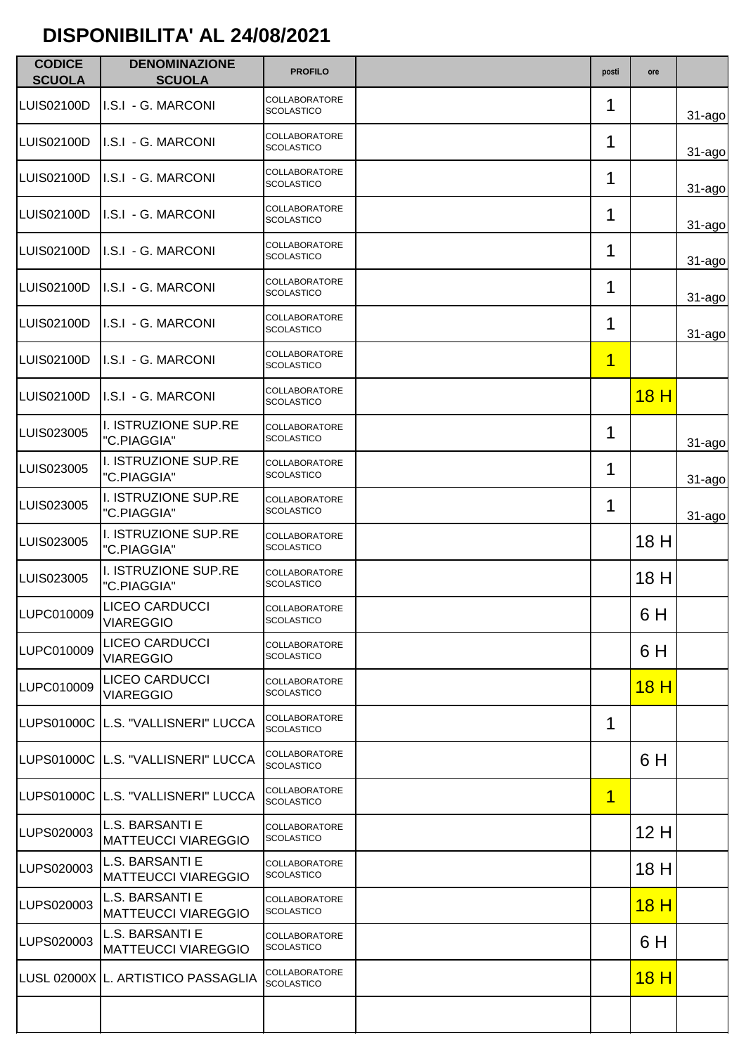| <b>CODICE</b><br><b>SCUOLA</b> | <b>DENOMINAZIONE</b><br><b>SCUOLA</b>         | <b>PROFILO</b>                            | posti          | ore         |            |
|--------------------------------|-----------------------------------------------|-------------------------------------------|----------------|-------------|------------|
| <b>LUIS02100D</b>              | I.S.I - G. MARCONI                            | <b>COLLABORATORE</b><br><b>SCOLASTICO</b> | 1              |             | $31 - ago$ |
| LUIS02100D                     | I.S.I - G. MARCONI                            | COLLABORATORE<br><b>SCOLASTICO</b>        | 1              |             | $31 - ago$ |
| LUIS02100D                     | I.S.I - G. MARCONI                            | COLLABORATORE<br><b>SCOLASTICO</b>        | 1              |             | $31 - ago$ |
| LUIS02100D                     | I.S.I - G. MARCONI                            | <b>COLLABORATORE</b><br><b>SCOLASTICO</b> | 1              |             | $31 - ago$ |
| LUIS02100D                     | I.S.I - G. MARCONI                            | COLLABORATORE<br><b>SCOLASTICO</b>        | 1              |             | 31-ago     |
| LUIS02100D                     | I.S.I - G. MARCONI                            | <b>COLLABORATORE</b><br><b>SCOLASTICO</b> | 1              |             | $31 - ago$ |
| LUIS02100D                     | I.S.I - G. MARCONI                            | COLLABORATORE<br><b>SCOLASTICO</b>        | 1              |             | $31 - ago$ |
| <b>LUIS02100D</b>              | I.S.I - G. MARCONI                            | <b>COLLABORATORE</b><br><b>SCOLASTICO</b> | $\overline{1}$ |             |            |
| LUIS02100D                     | I.S.I - G. MARCONI                            | <b>COLLABORATORE</b><br><b>SCOLASTICO</b> |                | 18H         |            |
| LUIS023005                     | I. ISTRUZIONE SUP.RE<br>"C.PIAGGIA"           | COLLABORATORE<br><b>SCOLASTICO</b>        | 1              |             | $31 - ago$ |
| LUIS023005                     | I. ISTRUZIONE SUP.RE<br>"C.PIAGGIA"           | <b>COLLABORATORE</b><br><b>SCOLASTICO</b> | 1              |             | $31 - ago$ |
| LUIS023005                     | I. ISTRUZIONE SUP.RE<br>"C.PIAGGIA"           | COLLABORATORE<br><b>SCOLASTICO</b>        | 1              |             | $31$ -ago  |
| LUIS023005                     | I. ISTRUZIONE SUP.RE<br>"C.PIAGGIA"           | COLLABORATORE<br><b>SCOLASTICO</b>        |                | 18 H        |            |
| LUIS023005                     | I. ISTRUZIONE SUP.RE<br>"C.PIAGGIA"           | <b>COLLABORATORE</b><br>SCOLASTICO        |                | 18 H        |            |
| LUPC010009                     | <b>LICEO CARDUCCI</b><br><b>VIAREGGIO</b>     | <b>COLLABORATORE</b><br><b>SCOLASTICO</b> |                | 6 H         |            |
| LUPC010009                     | LICEO CARDUCCI<br><b>VIAREGGIO</b>            | COLLABORATORE<br><b>SCOLASTICO</b>        |                | 6 H         |            |
| LUPC010009                     | <b>LICEO CARDUCCI</b><br><b>VIAREGGIO</b>     | <b>COLLABORATORE</b><br><b>SCOLASTICO</b> |                | <u>18 H</u> |            |
|                                | LUPS01000C L.S. "VALLISNERI" LUCCA            | <b>COLLABORATORE</b><br><b>SCOLASTICO</b> | 1              |             |            |
|                                | LUPS01000C L.S. "VALLISNERI" LUCCA            | <b>COLLABORATORE</b><br><b>SCOLASTICO</b> |                | 6 H         |            |
|                                | LUPS01000C L.S. "VALLISNERI" LUCCA            | COLLABORATORE<br><b>SCOLASTICO</b>        | 1              |             |            |
| LUPS020003                     | L.S. BARSANTI E<br><b>MATTEUCCI VIAREGGIO</b> | COLLABORATORE<br><b>SCOLASTICO</b>        |                | 12H         |            |
| LUPS020003                     | L.S. BARSANTI E<br><b>MATTEUCCI VIAREGGIO</b> | COLLABORATORE<br><b>SCOLASTICO</b>        |                | 18 H        |            |
| LUPS020003                     | L.S. BARSANTI E<br><b>MATTEUCCI VIAREGGIO</b> | COLLABORATORE<br><b>SCOLASTICO</b>        |                | <u>18 H</u> |            |
| LUPS020003                     | L.S. BARSANTI E<br><b>MATTEUCCI VIAREGGIO</b> | COLLABORATORE<br><b>SCOLASTICO</b>        |                | 6 H         |            |
|                                | LUSL 02000X L. ARTISTICO PASSAGLIA            | COLLABORATORE<br><b>SCOLASTICO</b>        |                | <u>18 H</u> |            |
|                                |                                               |                                           |                |             |            |